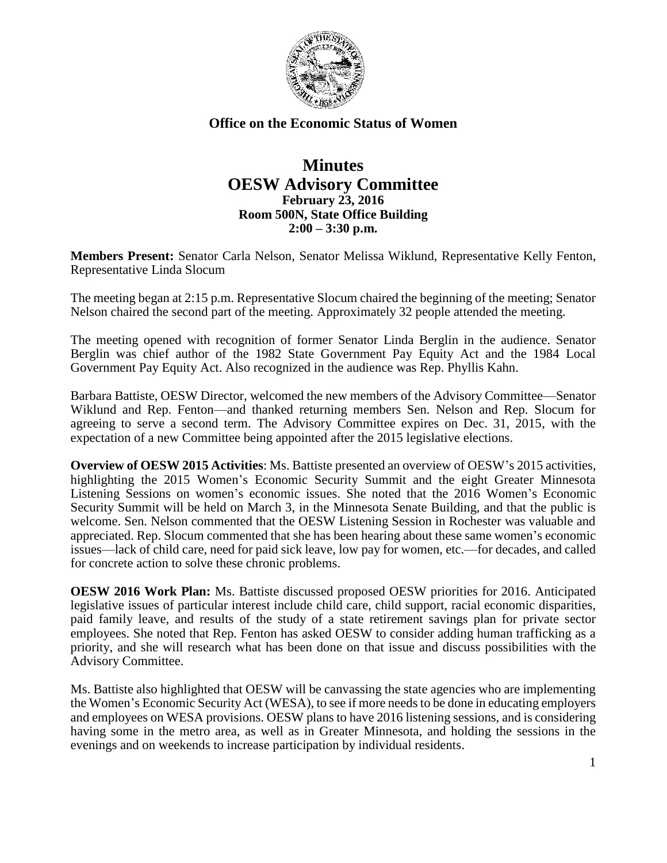

## **Office on the Economic Status of Women**

## **Minutes OESW Advisory Committee February 23, 2016 Room 500N, State Office Building 2:00 – 3:30 p.m.**

**Members Present:** Senator Carla Nelson, Senator Melissa Wiklund, Representative Kelly Fenton, Representative Linda Slocum

The meeting began at 2:15 p.m. Representative Slocum chaired the beginning of the meeting; Senator Nelson chaired the second part of the meeting. Approximately 32 people attended the meeting.

The meeting opened with recognition of former Senator Linda Berglin in the audience. Senator Berglin was chief author of the 1982 State Government Pay Equity Act and the 1984 Local Government Pay Equity Act. Also recognized in the audience was Rep. Phyllis Kahn.

Barbara Battiste, OESW Director, welcomed the new members of the Advisory Committee—Senator Wiklund and Rep. Fenton—and thanked returning members Sen. Nelson and Rep. Slocum for agreeing to serve a second term. The Advisory Committee expires on Dec. 31, 2015, with the expectation of a new Committee being appointed after the 2015 legislative elections.

**Overview of OESW 2015 Activities**: Ms. Battiste presented an overview of OESW's 2015 activities, highlighting the 2015 Women's Economic Security Summit and the eight Greater Minnesota Listening Sessions on women's economic issues. She noted that the 2016 Women's Economic Security Summit will be held on March 3, in the Minnesota Senate Building, and that the public is welcome. Sen. Nelson commented that the OESW Listening Session in Rochester was valuable and appreciated. Rep. Slocum commented that she has been hearing about these same women's economic issues—lack of child care, need for paid sick leave, low pay for women, etc.—for decades, and called for concrete action to solve these chronic problems.

**OESW 2016 Work Plan:** Ms. Battiste discussed proposed OESW priorities for 2016. Anticipated legislative issues of particular interest include child care, child support, racial economic disparities, paid family leave, and results of the study of a state retirement savings plan for private sector employees. She noted that Rep. Fenton has asked OESW to consider adding human trafficking as a priority, and she will research what has been done on that issue and discuss possibilities with the Advisory Committee.

Ms. Battiste also highlighted that OESW will be canvassing the state agencies who are implementing the Women's Economic Security Act (WESA), to see if more needs to be done in educating employers and employees on WESA provisions. OESW plans to have 2016 listening sessions, and is considering having some in the metro area, as well as in Greater Minnesota, and holding the sessions in the evenings and on weekends to increase participation by individual residents.